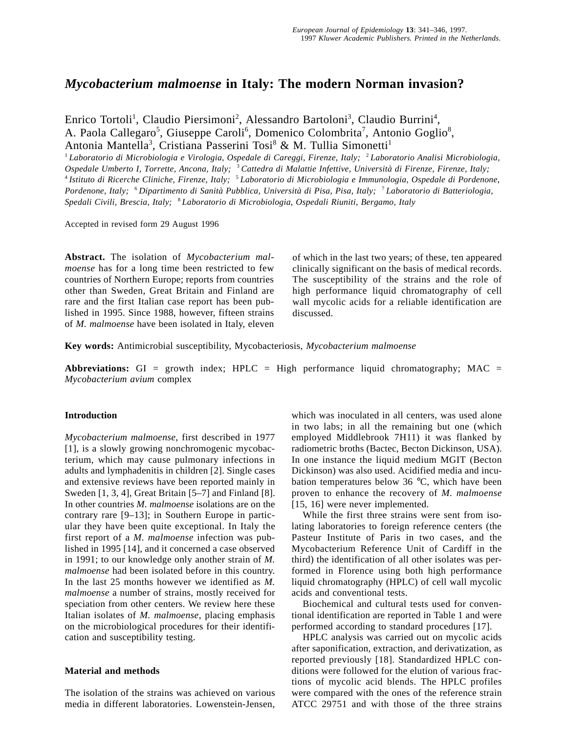# *Mycobacterium malmoense* **in Italy: The modern Norman invasion?**

Enrico Tortoli<sup>1</sup>, Claudio Piersimoni<sup>2</sup>, Alessandro Bartoloni<sup>3</sup>, Claudio Burrini<sup>4</sup>, A. Paola Callegaro<sup>5</sup>, Giuseppe Caroli<sup>6</sup>, Domenico Colombrita<sup>7</sup>, Antonio Goglio<sup>8</sup>, Antonia Mantella<sup>3</sup>, Cristiana Passerini Tosi<sup>8</sup> & M. Tullia Simonetti<sup>1</sup>

<sup>1</sup>*Laboratorio di Microbiologia e Virologia, Ospedale di Careggi, Firenze, Italy;* <sup>2</sup>*Laboratorio Analisi Microbiologia, Ospedale Umberto I, Torrette, Ancona, Italy;* <sup>3</sup>*Cattedra di Malattie Infettive, Università di Firenze, Firenze, Italy;* <sup>4</sup>*Istituto di Ricerche Cliniche, Firenze, Italy;* <sup>5</sup>*Laboratorio di Microbiologia e Immunologia, Ospedale di Pordenone, Pordenone, Italy;* <sup>6</sup>*Dipartimento di Sanità Pubblica, Università di Pisa, Pisa, Italy;* <sup>7</sup>*Laboratorio di Batteriologia, Spedali Civili, Brescia, Italy;* <sup>8</sup>*Laboratorio di Microbiologia, Ospedali Riuniti, Bergamo, Italy*

Accepted in revised form 29 August 1996

**Abstract.** The isolation of *Mycobacterium malmoense* has for a long time been restricted to few countries of Northern Europe; reports from countries other than Sweden, Great Britain and Finland are rare and the first Italian case report has been published in 1995. Since 1988, however, fifteen strains of *M. malmoense* have been isolated in Italy, eleven of which in the last two years; of these, ten appeared clinically significant on the basis of medical records. The susceptibility of the strains and the role of high performance liquid chromatography of cell wall mycolic acids for a reliable identification are discussed.

**Key words:** Antimicrobial susceptibility, Mycobacteriosis, *Mycobacterium malmoense*

**Abbreviations:** GI = growth index;  $HPLC = High performance liquid chromatography$ ;  $MAC =$ *Mycobacterium avium* complex

# **Introduction**

*Mycobacterium malmoense*, first described in 1977 [1], is a slowly growing nonchromogenic mycobacterium, which may cause pulmonary infections in adults and lymphadenitis in children [2]. Single cases and extensive reviews have been reported mainly in Sweden [1, 3, 4], Great Britain [5–7] and Finland [8]. In other countries *M. malmoense* isolations are on the contrary rare [9–13]; in Southern Europe in particular they have been quite exceptional. In Italy the first report of a *M. malmoense* infection was published in 1995 [14], and it concerned a case observed in 1991; to our knowledge only another strain of *M. malmoense* had been isolated before in this country. In the last 25 months however we identified as *M. malmoense* a number of strains, mostly received for speciation from other centers. We review here these Italian isolates of *M. malmoense*, placing emphasis on the microbiological procedures for their identification and susceptibility testing.

# **Material and methods**

The isolation of the strains was achieved on various media in different laboratories. Lowenstein-Jensen, which was inoculated in all centers, was used alone in two labs; in all the remaining but one (which employed Middlebrook 7H11) it was flanked by radiometric broths (Bactec, Becton Dickinson, USA). In one instance the liquid medium MGIT (Becton Dickinson) was also used. Acidified media and incubation temperatures below 36 °C, which have been proven to enhance the recovery of *M. malmoense* [15, 16] were never implemented.

While the first three strains were sent from isolating laboratories to foreign reference centers (the Pasteur Institute of Paris in two cases, and the Mycobacterium Reference Unit of Cardiff in the third) the identification of all other isolates was performed in Florence using both high performance liquid chromatography (HPLC) of cell wall mycolic acids and conventional tests.

Biochemical and cultural tests used for conventional identification are reported in Table 1 and were performed according to standard procedures [17].

HPLC analysis was carried out on mycolic acids after saponification, extraction, and derivatization, as reported previously [18]. Standardized HPLC conditions were followed for the elution of various fractions of mycolic acid blends. The HPLC profiles were compared with the ones of the reference strain ATCC 29751 and with those of the three strains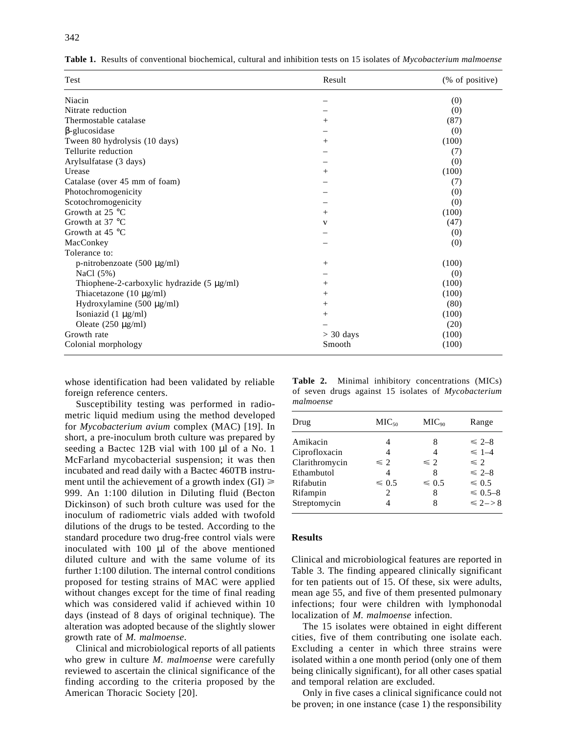| Test                                            | Result            | (% of positive) |
|-------------------------------------------------|-------------------|-----------------|
| Niacin                                          |                   | (0)             |
| Nitrate reduction                               |                   | (0)             |
| Thermostable catalase                           | $^{+}$            | (87)            |
| $\beta$ -glucosidase                            |                   | (0)             |
| Tween 80 hydrolysis (10 days)                   | $^{+}$            | (100)           |
| Tellurite reduction                             |                   | (7)             |
| Arylsulfatase (3 days)                          |                   | (0)             |
| Urease                                          | $^{+}$            | (100)           |
| Catalase (over 45 mm of foam)                   |                   | (7)             |
| Photochromogenicity                             |                   | (0)             |
| Scotochromogenicity                             |                   | (0)             |
| Growth at 25 °C                                 | $^{+}$            | (100)           |
| Growth at 37 °C                                 | $\mathbf V$       | (47)            |
| Growth at $45^{\circ}$ C                        |                   | (0)             |
| MacConkey                                       |                   | (0)             |
| Tolerance to:                                   |                   |                 |
| p-nitrobenzoate $(500 \mu g/ml)$                | $\qquad \qquad +$ | (100)           |
| NaCl (5%)                                       |                   | (0)             |
| Thiophene-2-carboxylic hydrazide $(5 \mu g/ml)$ | $^{+}$            | (100)           |
| Thiacetazone $(10 \ \mu g/ml)$                  | $^{+}$            | (100)           |
| Hydroxylamine $(500 \mu g/ml)$                  | $\qquad \qquad +$ | (80)            |
| Isoniazid $(1 \mu g/ml)$                        | $^{+}$            | (100)           |
| Oleate $(250 \mu g/ml)$                         |                   | (20)            |
| Growth rate                                     | $> 30$ days       | (100)           |
| Colonial morphology                             | Smooth            | (100)           |

**Table 1.** Results of conventional biochemical, cultural and inhibition tests on 15 isolates of *Mycobacterium malmoense*

whose identification had been validated by reliable foreign reference centers.

Susceptibility testing was performed in radiometric liquid medium using the method developed for *Mycobacterium avium* complex (MAC) [19]. In short, a pre-inoculum broth culture was prepared by seeding a Bactec 12B vial with 100 µl of a No. 1 McFarland mycobacterial suspension; it was then incubated and read daily with a Bactec 460TB instrument until the achievement of a growth index  $(GI) \ge$ 999. An 1:100 dilution in Diluting fluid (Becton Dickinson) of such broth culture was used for the inoculum of radiometric vials added with twofold dilutions of the drugs to be tested. According to the standard procedure two drug-free control vials were inoculated with 100 µl of the above mentioned diluted culture and with the same volume of its further 1:100 dilution. The internal control conditions proposed for testing strains of MAC were applied without changes except for the time of final reading which was considered valid if achieved within 10 days (instead of 8 days of original technique). The alteration was adopted because of the slightly slower growth rate of *M. malmoense*.

Clinical and microbiological reports of all patients who grew in culture *M. malmoense* were carefully reviewed to ascertain the clinical significance of the finding according to the criteria proposed by the American Thoracic Society [20].

**Table 2.** Minimal inhibitory concentrations (MICs) of seven drugs against 15 isolates of *Mycobacterium malmoense*

| Drug           | MIC <sub>50</sub> | MIC <sub>90</sub> | Range        |
|----------------|-------------------|-------------------|--------------|
| Amikacin       |                   | 8                 | $\leq 2-8$   |
| Ciprofloxacin  | 4                 | 4                 | $\leq 1-4$   |
| Clarithromycin | $\leq 2$          | $\leq 2$          | $\leq 2$     |
| Ethambutol     | 4                 | 8                 | $\leq 2-8$   |
| Rifabutin      | $\leq 0.5$        | $\leq 0.5$        | $\leq 0.5$   |
| Rifampin       | 2                 | 8                 | $\leq 0.5-8$ |
| Streptomycin   |                   | 8                 | $\leq 2 - 8$ |
|                |                   |                   |              |

#### **Results**

Clinical and microbiological features are reported in Table 3. The finding appeared clinically significant for ten patients out of 15. Of these, six were adults, mean age 55, and five of them presented pulmonary infections; four were children with lymphonodal localization of *M. malmoense* infection.

The 15 isolates were obtained in eight different cities, five of them contributing one isolate each. Excluding a center in which three strains were isolated within a one month period (only one of them being clinically significant), for all other cases spatial and temporal relation are excluded.

Only in five cases a clinical significance could not be proven; in one instance (case 1) the responsibility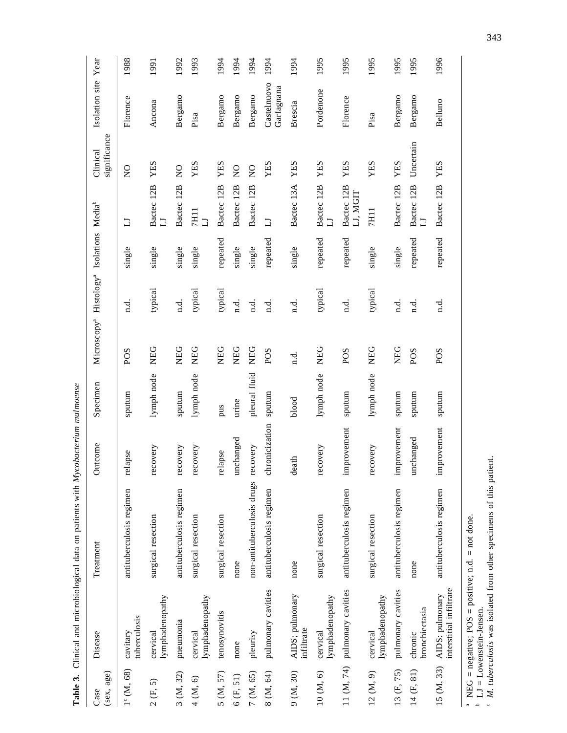|                                    |                                            | Table 3. Clinical and microbiological data on patients with Mycobacterium malmoense |                |               |                         |                                                      |          |                        |                          |                           |      |
|------------------------------------|--------------------------------------------|-------------------------------------------------------------------------------------|----------------|---------------|-------------------------|------------------------------------------------------|----------|------------------------|--------------------------|---------------------------|------|
| $(\text{sex}, \text{age})$<br>Case | Disease                                    | Treatment                                                                           | utcome<br>Ō    | Specimen      | Microscopy <sup>a</sup> | Histology <sup>ª</sup> Isolations Media <sup>b</sup> |          |                        | significance<br>Clinical | Isolation site            | Year |
| $1^{\circ}$ (M, 68)                | tuberculosis<br>cavitary                   | antituberculosis regimen                                                            | relapse        | sputum        | POS                     | n.d.                                                 | single   | $\Box$                 | $\overline{S}$           | Florence                  | 1988 |
| 2(F, 5)                            | lymphadenopathy<br>cervical                | surgical resection                                                                  | recovery       | lymph node    | NEG                     | typical                                              | single   | Bactec 12B             | YES                      | Ancona                    | 1991 |
| 3 (M, 32)                          | pneumonia                                  | antituberculosis regimen                                                            | recovery       | sputum        | <b>NEG</b>              | n.d.                                                 | single   | Bactec 12B             | $\frac{1}{2}$            | Bergamo                   | 1992 |
| 4(M, 6)                            | lymphadenopathy<br>cervical                | surgical resection                                                                  | recovery       | lymph node    | <b>NEG</b>              | typical                                              | single   | 7H11<br>$\Box$         | YES                      | Pisa                      | 1993 |
| 5 (M, 57)                          | tenosynovitis                              | surgical resection                                                                  | relapse        | pus           | <b>NEG</b>              | typical                                              | repeated | Bactec 12B             | YES                      | Bergamo                   | 1994 |
| 6(F, 51)                           | none                                       | none                                                                                | unchanged      | urine         | <b>NEG</b>              | n.d.                                                 | single   | Bactec 12B             | $\frac{1}{2}$            | Bergamo                   | 1994 |
| 7 (M, 65)                          | pleurisy                                   | non-antituberculosis drugs                                                          | recovery       | pleural fluid | <b>NEG</b>              | n.d.                                                 | single   | Bactec 12B             | $\frac{0}{\mathbf{X}}$   | Bergamo                   | 1994 |
| $8(M, 64)$                         | pulmonary cavities                         | antituberculosis regimen                                                            | chronicization | sputum        | POS                     | d.<br>n                                              | repeated | コ                      | YES                      | Castelnuovo<br>Garfagnana | 1994 |
| 9 (M, 30)                          | AIDS; pulmonary<br>infiltrate              | none                                                                                | dia<br>ಕಿ      | blood         | $\vec{a}$ .             | n.d.                                                 | single   | Bactec 13A             | YES                      | Brescia                   | 1994 |
| 10(M, 6)                           | lymphadenopathy<br>cervical                | surgical resection                                                                  | recovery       | lymph node    | NEG                     | typical                                              | repeated | Bactec 12B             | YES                      | Pordenone                 | 1995 |
| 11 (M, 74)                         | pulmonary cavities                         | antituberculosis regimen                                                            | improvement    | sputum        | POS                     | n.d.                                                 | repeated | Bactec 12B<br>LJ, MGIT | YES                      | Florence                  | 1995 |
| 12 (M, 9)                          | lymphadenopathy<br>cervical                | surgical resection                                                                  | recovery       | lymph node    | <b>NEG</b>              | typical                                              | single   | 7H11                   | YES                      | Pisa                      | 1995 |
| 13 (F, 75)                         | pulmonary cavities                         | antituberculosis regimen                                                            | improvement    | sputum        | NEG                     | n.d.                                                 | single   | Bactec 12B             | <b>XES</b>               | Bergamo                   | 1995 |
| 14 (F, 81)                         | bronchiectasia<br>chronic                  | none                                                                                | unchanged      | sputum        | POS                     | n.d.                                                 | repeated | Bactec 12B             | Uncertain                | Bergamo                   | 1995 |
| 15 (M, 33)                         | interstitial infiltrate<br>AIDS: pulmonary | antituberculosis regimen                                                            | improvement    | sputum        | POS                     | n.d.                                                 | repeated | Bactec 12B             | YES                      | Belluno                   | 1996 |

 $^a$  NEG = negative; POS = positive; n.d. = not done. LJ = Lowenstein-Jensen.

abc

*M. tuberculosis* was isolated from other specimens of this patient.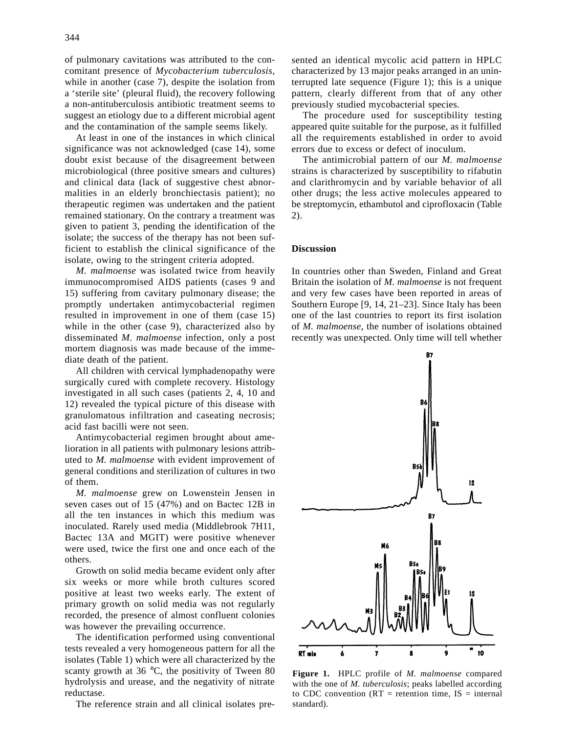of pulmonary cavitations was attributed to the concomitant presence of *Mycobacterium tuberculosis*, while in another (case 7), despite the isolation from a 'sterile site' (pleural fluid), the recovery following a non-antituberculosis antibiotic treatment seems to suggest an etiology due to a different microbial agent and the contamination of the sample seems likely.

At least in one of the instances in which clinical significance was not acknowledged (case 14), some doubt exist because of the disagreement between microbiological (three positive smears and cultures) and clinical data (lack of suggestive chest abnormalities in an elderly bronchiectasis patient); no therapeutic regimen was undertaken and the patient remained stationary. On the contrary a treatment was given to patient 3, pending the identification of the isolate; the success of the therapy has not been sufficient to establish the clinical significance of the isolate, owing to the stringent criteria adopted.

*M. malmoense* was isolated twice from heavily immunocompromised AIDS patients (cases 9 and 15) suffering from cavitary pulmonary disease; the promptly undertaken antimycobacterial regimen resulted in improvement in one of them (case 15) while in the other (case 9), characterized also by disseminated *M. malmoense* infection, only a post mortem diagnosis was made because of the immediate death of the patient.

All children with cervical lymphadenopathy were surgically cured with complete recovery. Histology investigated in all such cases (patients 2, 4, 10 and 12) revealed the typical picture of this disease with granulomatous infiltration and caseating necrosis; acid fast bacilli were not seen.

Antimycobacterial regimen brought about amelioration in all patients with pulmonary lesions attributed to *M. malmoense* with evident improvement of general conditions and sterilization of cultures in two of them.

*M. malmoense* grew on Lowenstein Jensen in seven cases out of 15 (47%) and on Bactec 12B in all the ten instances in which this medium was inoculated. Rarely used media (Middlebrook 7H11, Bactec 13A and MGIT) were positive whenever were used, twice the first one and once each of the others.

Growth on solid media became evident only after six weeks or more while broth cultures scored positive at least two weeks early. The extent of primary growth on solid media was not regularly recorded, the presence of almost confluent colonies was however the prevailing occurrence.

The identification performed using conventional tests revealed a very homogeneous pattern for all the isolates (Table 1) which were all characterized by the scanty growth at 36 °C, the positivity of Tween 80 hydrolysis and urease, and the negativity of nitrate reductase.

The reference strain and all clinical isolates pre-

sented an identical mycolic acid pattern in HPLC characterized by 13 major peaks arranged in an uninterrupted late sequence (Figure 1); this is a unique pattern, clearly different from that of any other previously studied mycobacterial species.

The procedure used for susceptibility testing appeared quite suitable for the purpose, as it fulfilled all the requirements established in order to avoid errors due to excess or defect of inoculum.

The antimicrobial pattern of our *M. malmoense* strains is characterized by susceptibility to rifabutin and clarithromycin and by variable behavior of all other drugs; the less active molecules appeared to be streptomycin, ethambutol and ciprofloxacin (Table 2).

## **Discussion**

In countries other than Sweden, Finland and Great Britain the isolation of *M. malmoense* is not frequent and very few cases have been reported in areas of Southern Europe [9, 14, 21–23]. Since Italy has been one of the last countries to report its first isolation of *M. malmoense*, the number of isolations obtained recently was unexpected. Only time will tell whether



**Figure 1.** HPLC profile of *M. malmoense* compared with the one of *M. tuberculosis*; peaks labelled according to CDC convention ( $RT$  = retention time,  $IS$  = internal standard).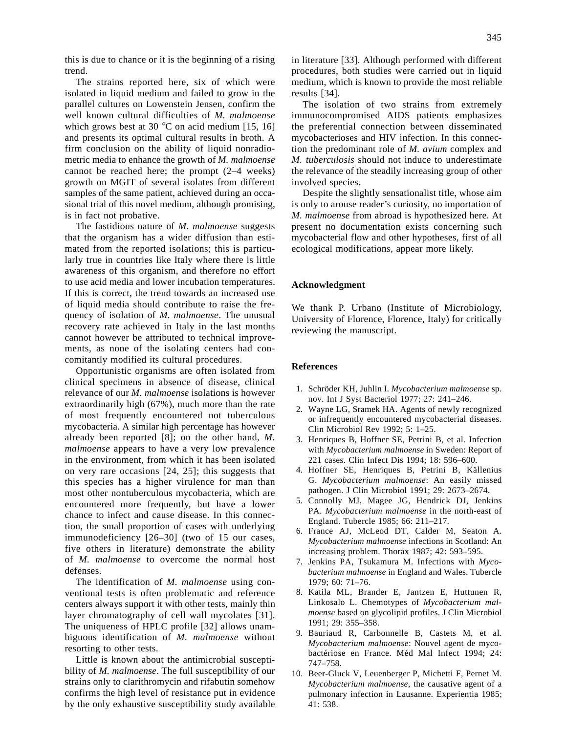this is due to chance or it is the beginning of a rising trend.

The strains reported here, six of which were isolated in liquid medium and failed to grow in the parallel cultures on Lowenstein Jensen, confirm the well known cultural difficulties of *M. malmoense* which grows best at 30  $^{\circ}$ C on acid medium [15, 16] and presents its optimal cultural results in broth. A firm conclusion on the ability of liquid nonradiometric media to enhance the growth of *M. malmoense* cannot be reached here; the prompt (2–4 weeks) growth on MGIT of several isolates from different samples of the same patient, achieved during an occasional trial of this novel medium, although promising, is in fact not probative.

The fastidious nature of *M. malmoense* suggests that the organism has a wider diffusion than estimated from the reported isolations; this is particularly true in countries like Italy where there is little awareness of this organism, and therefore no effort to use acid media and lower incubation temperatures. If this is correct, the trend towards an increased use of liquid media should contribute to raise the frequency of isolation of *M. malmoense*. The unusual recovery rate achieved in Italy in the last months cannot however be attributed to technical improvements, as none of the isolating centers had concomitantly modified its cultural procedures.

Opportunistic organisms are often isolated from clinical specimens in absence of disease, clinical relevance of our *M. malmoense* isolations is however extraordinarily high (67%), much more than the rate of most frequently encountered not tuberculous mycobacteria. A similar high percentage has however already been reported [8]; on the other hand, *M. malmoense* appears to have a very low prevalence in the environment, from which it has been isolated on very rare occasions [24, 25]; this suggests that this species has a higher virulence for man than most other nontuberculous mycobacteria, which are encountered more frequently, but have a lower chance to infect and cause disease. In this connection, the small proportion of cases with underlying immunodeficiency [26–30] (two of 15 our cases, five others in literature) demonstrate the ability of *M. malmoense* to overcome the normal host defenses.

The identification of *M. malmoense* using conventional tests is often problematic and reference centers always support it with other tests, mainly thin layer chromatography of cell wall mycolates [31]. The uniqueness of HPLC profile [32] allows unambiguous identification of *M. malmoense* without resorting to other tests.

Little is known about the antimicrobial susceptibility of *M. malmoense*. The full susceptibility of our strains only to clarithromycin and rifabutin somehow confirms the high level of resistance put in evidence by the only exhaustive susceptibility study available in literature [33]. Although performed with different procedures, both studies were carried out in liquid medium, which is known to provide the most reliable results [34].

The isolation of two strains from extremely immunocompromised AIDS patients emphasizes the preferential connection between disseminated mycobacterioses and HIV infection. In this connection the predominant role of *M. avium* complex and *M. tuberculosis* should not induce to underestimate the relevance of the steadily increasing group of other involved species.

Despite the slightly sensationalist title, whose aim is only to arouse reader's curiosity, no importation of *M. malmoense* from abroad is hypothesized here. At present no documentation exists concerning such mycobacterial flow and other hypotheses, first of all ecological modifications, appear more likely.

### **Acknowledgment**

We thank P. Urbano (Institute of Microbiology, University of Florence, Florence, Italy) for critically reviewing the manuscript.

#### **References**

- 01. Schröder KH, Juhlin I. *Mycobacterium malmoense* sp. nov. Int J Syst Bacteriol 1977; 27: 241–246.
- 02. Wayne LG, Sramek HA. Agents of newly recognized or infrequently encountered mycobacterial diseases. Clin Microbiol Rev 1992; 5: 1–25.
- 03. Henriques B, Hoffner SE, Petrini B, et al. Infection with *Mycobacterium malmoense* in Sweden: Report of 221 cases. Clin Infect Dis 1994; 18: 596–600.
- 04. Hoffner SE, Henriques B, Petrini B, Källenius G. *Mycobacterium malmoense*: An easily missed pathogen. J Clin Microbiol 1991; 29: 2673–2674.
- 05. Connolly MJ, Magee JG, Hendrick DJ, Jenkins PA. *Mycobacterium malmoense* in the north-east of England. Tubercle 1985; 66: 211–217.
- 06. France AJ, McLeod DT, Calder M, Seaton A. *Mycobacterium malmoense* infections in Scotland: An increasing problem. Thorax 1987; 42: 593–595.
- 07. Jenkins PA, Tsukamura M. Infections with *Mycobacterium malmoense* in England and Wales. Tubercle 1979; 60: 71–76.
- 08. Katila ML, Brander E, Jantzen E, Huttunen R, Linkosalo L. Chemotypes of *Mycobacterium malmoense* based on glycolipid profiles. J Clin Microbiol 1991; 29: 355–358.
- 09. Bauriaud R, Carbonnelle B, Castets M, et al. *Mycobacterium malmoense*: Nouvel agent de mycobactériose en France. Méd Mal Infect 1994; 24: 747–758.
- 10. Beer-Gluck V, Leuenberger P, Michetti F, Pernet M. *Mycobacterium malmoense*, the causative agent of a pulmonary infection in Lausanne. Experientia 1985; 41: 538.